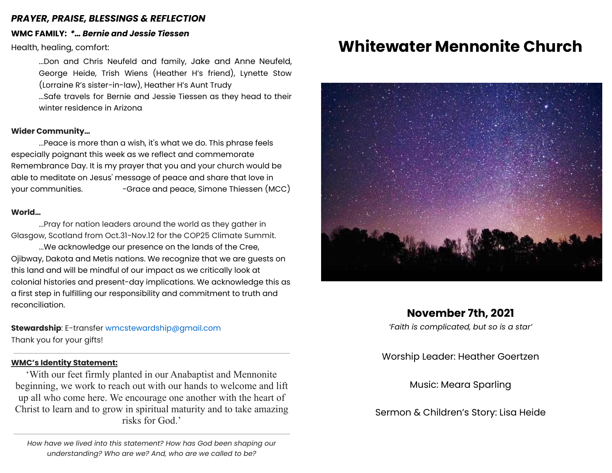### *PRAYER, PRAISE, BLESSINGS & REFLECTION*

# **WMC FAMILY:** *\*… Bernie and Jessie Tiessen*

Health, healing, comfort:

...Don and Chris Neufeld and family, Jake and Anne Neufeld, George Heide, Trish Wiens (Heather H's friend), Lynette Stow (Lorraine R's sister-in-law), Heather H's Aunt Trudy

...Safe travels for Bernie and Jessie Tiessen as they head to their winter residence in Arizona

### **Wider Community…**

...Peace is more than a wish, it's what we do. This phrase feels especially poignant this week as we reflect and commemorate Remembrance Day. It is my prayer that you and your church would be able to meditate on Jesus' message of peace and share that love in your communities. -Grace and peace, Simone Thiessen (MCC)

#### **World…**

...Pray for nation leaders around the world as they gather in Glasgow, Scotland from Oct.31-Nov.12 for the COP25 Climate Summit.

...We acknowledge our presence on the lands of the Cree, Ojibway, Dakota and Metis nations. We recognize that we are guests on this land and will be mindful of our impact as we critically look at colonial histories and present-day implications. We acknowledge this as a first step in fulfilling our responsibility and commitment to truth and reconciliation.

# **Stewardship**: E-transfer [wmcstewardship@gmail.com](mailto:wmcstewardship@gmail.com)

Thank you for your gifts!

#### **WMC's Identity Statement:**

'With our feet firmly planted in our Anabaptist and Mennonite beginning, we work to reach out with our hands to welcome and lift up all who come here. We encourage one another with the heart of Christ to learn and to grow in spiritual maturity and to take amazing risks for God.'

*How have we lived into this statement? How has God been shaping our understanding? Who are we? And, who are we called to be?*

# **Whitewater Mennonite Church**



# **November 7th, 2021**

*'Faith is complicated, but so is a star'*

Worship Leader: Heather Goertzen

Music: Meara Sparling

Sermon & Children's Story: Lisa Heide